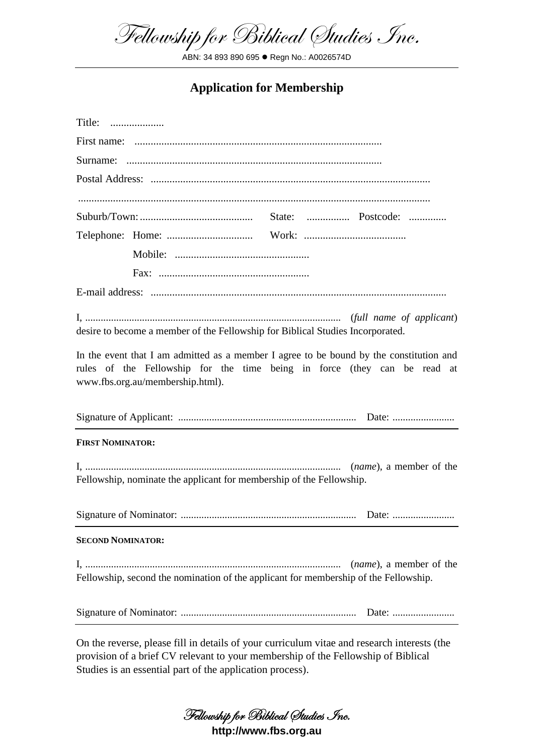Fellowship for Biblical Studies Inc.

ABN: 34 893 890 695 Regn No.: A0026574D

## **Application for Membership**

| Title:                                                                                                                                                                                                  |
|---------------------------------------------------------------------------------------------------------------------------------------------------------------------------------------------------------|
|                                                                                                                                                                                                         |
|                                                                                                                                                                                                         |
|                                                                                                                                                                                                         |
|                                                                                                                                                                                                         |
|                                                                                                                                                                                                         |
|                                                                                                                                                                                                         |
|                                                                                                                                                                                                         |
|                                                                                                                                                                                                         |
|                                                                                                                                                                                                         |
| desire to become a member of the Fellowship for Biblical Studies Incorporated.                                                                                                                          |
| In the event that I am admitted as a member I agree to be bound by the constitution and<br>rules of the Fellowship for the time being in force (they can be read at<br>www.fbs.org.au/membership.html). |
|                                                                                                                                                                                                         |
| <b>FIRST NOMINATOR:</b>                                                                                                                                                                                 |
| Fellowship, nominate the applicant for membership of the Fellowship.                                                                                                                                    |
| Date:                                                                                                                                                                                                   |
| <b>SECOND NOMINATOR:</b>                                                                                                                                                                                |
| ( <i>name</i> ), a member of the<br>Fellowship, second the nomination of the applicant for membership of the Fellowship.                                                                                |
|                                                                                                                                                                                                         |

On the reverse, please fill in details of your curriculum vitae and research interests (the provision of a brief CV relevant to your membership of the Fellowship of Biblical Studies is an essential part of the application process).

**Fellowship for Biblical Studies Inc.**

**http://www.fbs.org.au**